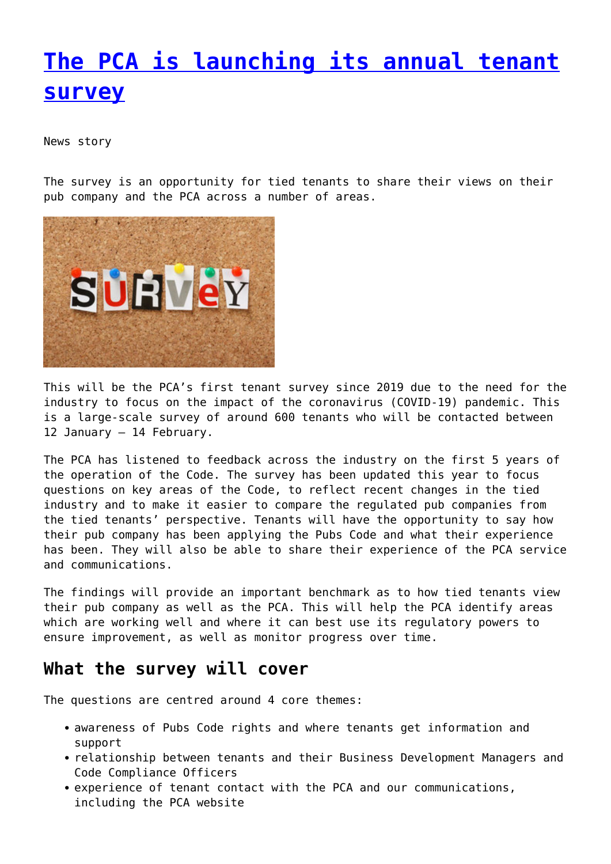## **[The PCA is launching its annual tenant](http://www.government-world.com/the-pca-is-launching-its-annual-tenant-survey/) [survey](http://www.government-world.com/the-pca-is-launching-its-annual-tenant-survey/)**

News story

The survey is an opportunity for tied tenants to share their views on their pub company and the PCA across a number of areas.



This will be the PCA's first tenant survey since 2019 due to the need for the industry to focus on the impact of the coronavirus (COVID-19) pandemic. This is a large-scale survey of around 600 tenants who will be contacted between 12 January – 14 February.

The PCA has listened to feedback across the industry on the first 5 years of the operation of the Code. The survey has been updated this year to focus questions on key areas of the Code, to reflect recent changes in the tied industry and to make it easier to compare the regulated pub companies from the tied tenants' perspective. Tenants will have the opportunity to say how their pub company has been applying the Pubs Code and what their experience has been. They will also be able to share their experience of the PCA service and communications.

The findings will provide an important benchmark as to how tied tenants view their pub company as well as the PCA. This will help the PCA identify areas which are working well and where it can best use its regulatory powers to ensure improvement, as well as monitor progress over time.

## **What the survey will cover**

The questions are centred around 4 core themes:

- awareness of Pubs Code rights and where tenants get information and support
- relationship between tenants and their Business Development Managers and Code Compliance Officers
- experience of tenant contact with the PCA and our communications, including the PCA website